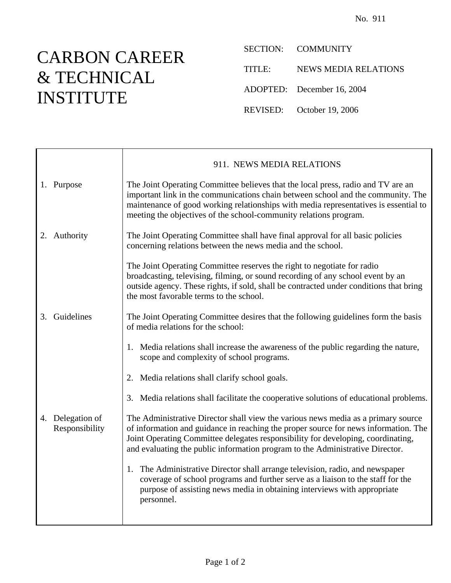## CARBON CAREER & TECHNICAL INSTITUTE

SECTION: COMMUNITY

TITLE: NEWS MEDIA RELATIONS

ADOPTED: December 16, 2004

REVISED: October 19, 2006

|    |                                    | 911. NEWS MEDIA RELATIONS                                                                                                                                                                                                                                                                                                                     |
|----|------------------------------------|-----------------------------------------------------------------------------------------------------------------------------------------------------------------------------------------------------------------------------------------------------------------------------------------------------------------------------------------------|
|    | 1. Purpose                         | The Joint Operating Committee believes that the local press, radio and TV are an<br>important link in the communications chain between school and the community. The<br>maintenance of good working relationships with media representatives is essential to<br>meeting the objectives of the school-community relations program.             |
|    | 2. Authority                       | The Joint Operating Committee shall have final approval for all basic policies<br>concerning relations between the news media and the school.                                                                                                                                                                                                 |
|    |                                    | The Joint Operating Committee reserves the right to negotiate for radio<br>broadcasting, televising, filming, or sound recording of any school event by an<br>outside agency. These rights, if sold, shall be contracted under conditions that bring<br>the most favorable terms to the school.                                               |
| 3. | Guidelines                         | The Joint Operating Committee desires that the following guidelines form the basis<br>of media relations for the school:                                                                                                                                                                                                                      |
|    |                                    | 1. Media relations shall increase the awareness of the public regarding the nature,<br>scope and complexity of school programs.                                                                                                                                                                                                               |
|    |                                    | 2. Media relations shall clarify school goals.                                                                                                                                                                                                                                                                                                |
|    |                                    | 3. Media relations shall facilitate the cooperative solutions of educational problems.                                                                                                                                                                                                                                                        |
|    | 4. Delegation of<br>Responsibility | The Administrative Director shall view the various news media as a primary source<br>of information and guidance in reaching the proper source for news information. The<br>Joint Operating Committee delegates responsibility for developing, coordinating,<br>and evaluating the public information program to the Administrative Director. |
|    |                                    | 1. The Administrative Director shall arrange television, radio, and newspaper<br>coverage of school programs and further serve as a liaison to the staff for the<br>purpose of assisting news media in obtaining interviews with appropriate<br>personnel.                                                                                    |
|    |                                    |                                                                                                                                                                                                                                                                                                                                               |